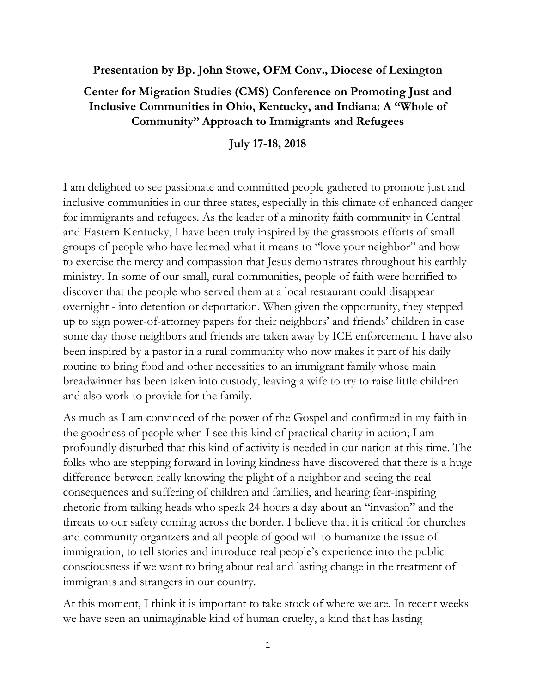**Presentation by Bp. John Stowe, OFM Conv., Diocese of Lexington**

## **Center for Migration Studies (CMS) Conference on Promoting Just and Inclusive Communities in Ohio, Kentucky, and Indiana: A "Whole of Community" Approach to Immigrants and Refugees**

**July 17-18, 2018**

I am delighted to see passionate and committed people gathered to promote just and inclusive communities in our three states, especially in this climate of enhanced danger for immigrants and refugees. As the leader of a minority faith community in Central and Eastern Kentucky, I have been truly inspired by the grassroots efforts of small groups of people who have learned what it means to "love your neighbor" and how to exercise the mercy and compassion that Jesus demonstrates throughout his earthly ministry. In some of our small, rural communities, people of faith were horrified to discover that the people who served them at a local restaurant could disappear overnight - into detention or deportation. When given the opportunity, they stepped up to sign power-of-attorney papers for their neighbors' and friends' children in case some day those neighbors and friends are taken away by ICE enforcement. I have also been inspired by a pastor in a rural community who now makes it part of his daily routine to bring food and other necessities to an immigrant family whose main breadwinner has been taken into custody, leaving a wife to try to raise little children and also work to provide for the family.

As much as I am convinced of the power of the Gospel and confirmed in my faith in the goodness of people when I see this kind of practical charity in action; I am profoundly disturbed that this kind of activity is needed in our nation at this time. The folks who are stepping forward in loving kindness have discovered that there is a huge difference between really knowing the plight of a neighbor and seeing the real consequences and suffering of children and families, and hearing fear-inspiring rhetoric from talking heads who speak 24 hours a day about an "invasion" and the threats to our safety coming across the border. I believe that it is critical for churches and community organizers and all people of good will to humanize the issue of immigration, to tell stories and introduce real people's experience into the public consciousness if we want to bring about real and lasting change in the treatment of immigrants and strangers in our country.

At this moment, I think it is important to take stock of where we are. In recent weeks we have seen an unimaginable kind of human cruelty, a kind that has lasting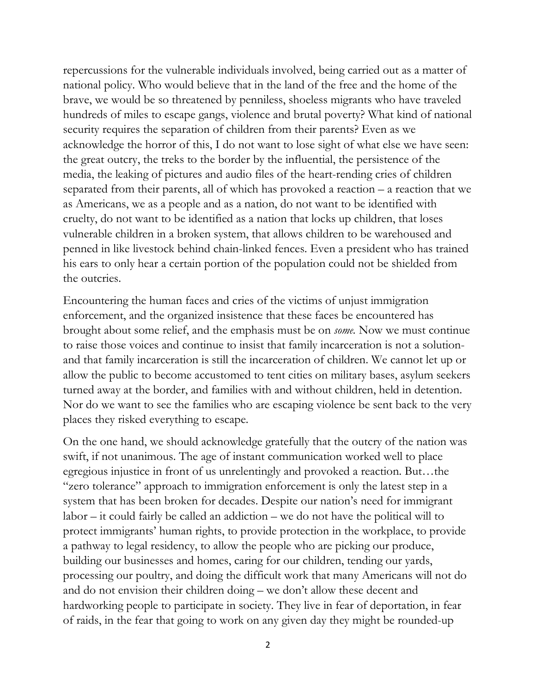repercussions for the vulnerable individuals involved, being carried out as a matter of national policy. Who would believe that in the land of the free and the home of the brave, we would be so threatened by penniless, shoeless migrants who have traveled hundreds of miles to escape gangs, violence and brutal poverty? What kind of national security requires the separation of children from their parents? Even as we acknowledge the horror of this, I do not want to lose sight of what else we have seen: the great outcry, the treks to the border by the influential, the persistence of the media, the leaking of pictures and audio files of the heart-rending cries of children separated from their parents, all of which has provoked a reaction – a reaction that we as Americans, we as a people and as a nation, do not want to be identified with cruelty, do not want to be identified as a nation that locks up children, that loses vulnerable children in a broken system, that allows children to be warehoused and penned in like livestock behind chain-linked fences. Even a president who has trained his ears to only hear a certain portion of the population could not be shielded from the outcries.

Encountering the human faces and cries of the victims of unjust immigration enforcement, and the organized insistence that these faces be encountered has brought about some relief, and the emphasis must be on *some.* Now we must continue to raise those voices and continue to insist that family incarceration is not a solutionand that family incarceration is still the incarceration of children. We cannot let up or allow the public to become accustomed to tent cities on military bases, asylum seekers turned away at the border, and families with and without children, held in detention. Nor do we want to see the families who are escaping violence be sent back to the very places they risked everything to escape.

On the one hand, we should acknowledge gratefully that the outcry of the nation was swift, if not unanimous. The age of instant communication worked well to place egregious injustice in front of us unrelentingly and provoked a reaction. But…the "zero tolerance" approach to immigration enforcement is only the latest step in a system that has been broken for decades. Despite our nation's need for immigrant labor – it could fairly be called an addiction – we do not have the political will to protect immigrants' human rights, to provide protection in the workplace, to provide a pathway to legal residency, to allow the people who are picking our produce, building our businesses and homes, caring for our children, tending our yards, processing our poultry, and doing the difficult work that many Americans will not do and do not envision their children doing – we don't allow these decent and hardworking people to participate in society. They live in fear of deportation, in fear of raids, in the fear that going to work on any given day they might be rounded-up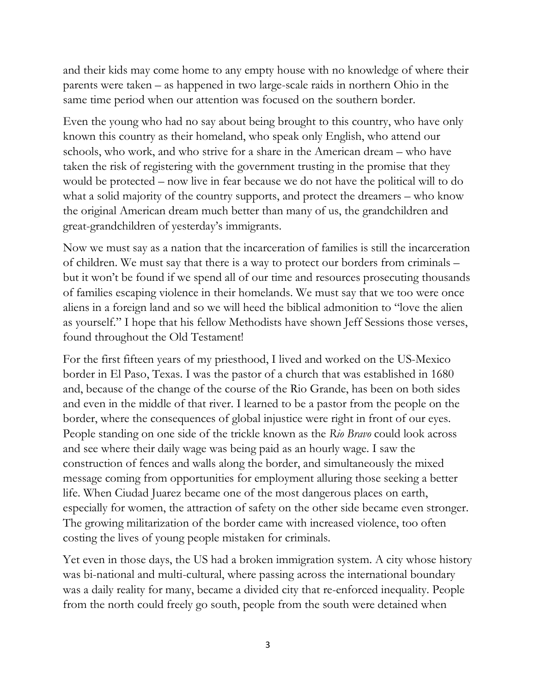and their kids may come home to any empty house with no knowledge of where their parents were taken – as happened in two large-scale raids in northern Ohio in the same time period when our attention was focused on the southern border.

Even the young who had no say about being brought to this country, who have only known this country as their homeland, who speak only English, who attend our schools, who work, and who strive for a share in the American dream – who have taken the risk of registering with the government trusting in the promise that they would be protected – now live in fear because we do not have the political will to do what a solid majority of the country supports, and protect the dreamers – who know the original American dream much better than many of us, the grandchildren and great-grandchildren of yesterday's immigrants.

Now we must say as a nation that the incarceration of families is still the incarceration of children. We must say that there is a way to protect our borders from criminals – but it won't be found if we spend all of our time and resources prosecuting thousands of families escaping violence in their homelands. We must say that we too were once aliens in a foreign land and so we will heed the biblical admonition to "love the alien as yourself." I hope that his fellow Methodists have shown Jeff Sessions those verses, found throughout the Old Testament!

For the first fifteen years of my priesthood, I lived and worked on the US-Mexico border in El Paso, Texas. I was the pastor of a church that was established in 1680 and, because of the change of the course of the Rio Grande, has been on both sides and even in the middle of that river. I learned to be a pastor from the people on the border, where the consequences of global injustice were right in front of our eyes. People standing on one side of the trickle known as the *Rio Bravo* could look across and see where their daily wage was being paid as an hourly wage. I saw the construction of fences and walls along the border, and simultaneously the mixed message coming from opportunities for employment alluring those seeking a better life. When Ciudad Juarez became one of the most dangerous places on earth, especially for women, the attraction of safety on the other side became even stronger. The growing militarization of the border came with increased violence, too often costing the lives of young people mistaken for criminals.

Yet even in those days, the US had a broken immigration system. A city whose history was bi-national and multi-cultural, where passing across the international boundary was a daily reality for many, became a divided city that re-enforced inequality. People from the north could freely go south, people from the south were detained when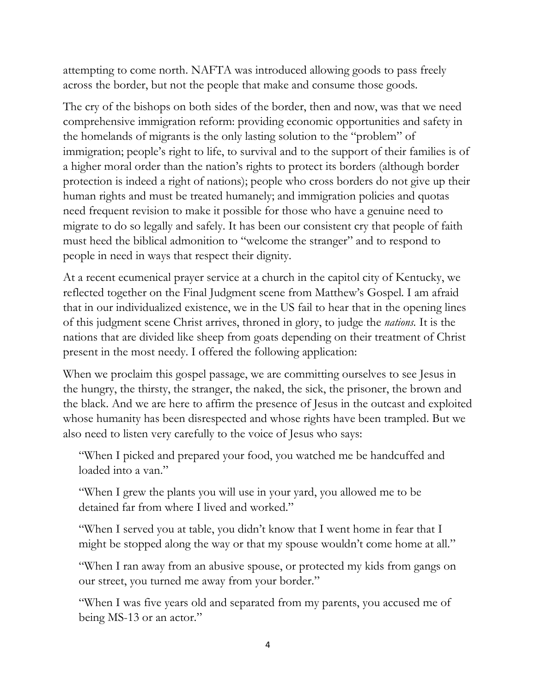attempting to come north. NAFTA was introduced allowing goods to pass freely across the border, but not the people that make and consume those goods.

The cry of the bishops on both sides of the border, then and now, was that we need comprehensive immigration reform: providing economic opportunities and safety in the homelands of migrants is the only lasting solution to the "problem" of immigration; people's right to life, to survival and to the support of their families is of a higher moral order than the nation's rights to protect its borders (although border protection is indeed a right of nations); people who cross borders do not give up their human rights and must be treated humanely; and immigration policies and quotas need frequent revision to make it possible for those who have a genuine need to migrate to do so legally and safely. It has been our consistent cry that people of faith must heed the biblical admonition to "welcome the stranger" and to respond to people in need in ways that respect their dignity.

At a recent ecumenical prayer service at a church in the capitol city of Kentucky, we reflected together on the Final Judgment scene from Matthew's Gospel. I am afraid that in our individualized existence, we in the US fail to hear that in the opening lines of this judgment scene Christ arrives, throned in glory, to judge the *nations.* It is the nations that are divided like sheep from goats depending on their treatment of Christ present in the most needy. I offered the following application:

When we proclaim this gospel passage, we are committing ourselves to see Jesus in the hungry, the thirsty, the stranger, the naked, the sick, the prisoner, the brown and the black. And we are here to affirm the presence of Jesus in the outcast and exploited whose humanity has been disrespected and whose rights have been trampled. But we also need to listen very carefully to the voice of Jesus who says:

"When I picked and prepared your food, you watched me be handcuffed and loaded into a van."

"When I grew the plants you will use in your yard, you allowed me to be detained far from where I lived and worked."

"When I served you at table, you didn't know that I went home in fear that I might be stopped along the way or that my spouse wouldn't come home at all."

"When I ran away from an abusive spouse, or protected my kids from gangs on our street, you turned me away from your border."

"When I was five years old and separated from my parents, you accused me of being MS-13 or an actor."